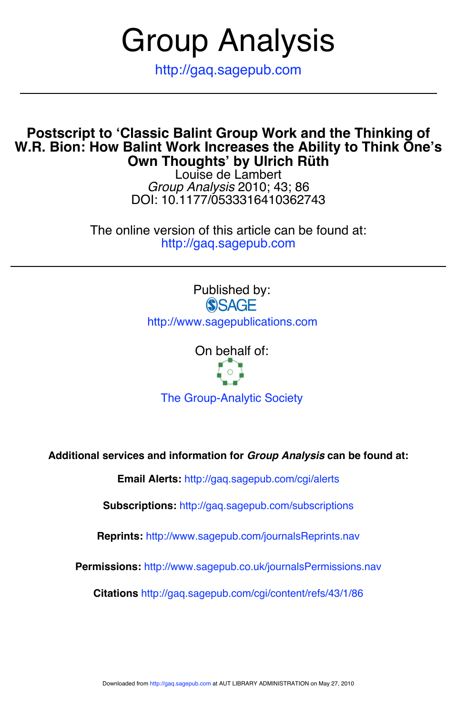# Group Analysis

http://gaq.sagepub.com

## **Own Thoughts' by Ulrich Rüth W.R. Bion: How Balint Work Increases the Ability to Think One's Postscript to 'Classic Balint Group Work and the Thinking of**

DOI: 10.1177/0533316410362743 *Group Analysis* 2010; 43; 86 Louise de Lambert

http://gaq.sagepub.com The online version of this article can be found at:

> Published by:<br>
> SAGE http://www.sagepublications.com

> > On behalf of:

[The Group-Analytic Society](http://www.groupanalyticsociety.co.uk)

**Additional services and information for** *Group Analysis* **can be found at:**

**Email Alerts:** <http://gaq.sagepub.com/cgi/alerts>

**Subscriptions:** <http://gaq.sagepub.com/subscriptions>

**Reprints:** <http://www.sagepub.com/journalsReprints.nav>

**Permissions:** <http://www.sagepub.co.uk/journalsPermissions.nav>

**Citations** <http://gaq.sagepub.com/cgi/content/refs/43/1/86>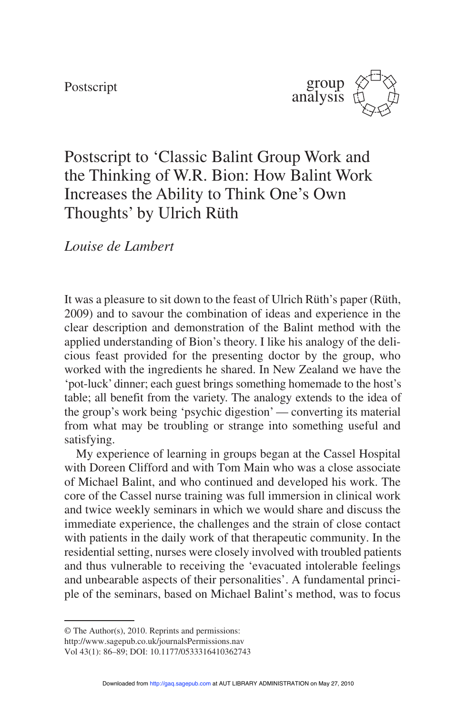### Postscript



## Postscript to 'Classic Balint Group Work and the Thinking of W.R. Bion: How Balint Work Increases the Ability to Think One's Own Thoughts' by Ulrich Rüth

## *Louise de Lambert*

It was a pleasure to sit down to the feast of Ulrich Rüth's paper (Rüth, 2009) and to savour the combination of ideas and experience in the clear description and demonstration of the Balint method with the applied understanding of Bion's theory. I like his analogy of the delicious feast provided for the presenting doctor by the group, who worked with the ingredients he shared. In New Zealand we have the 'pot-luck' dinner; each guest brings something homemade to the host's table; all benefit from the variety. The analogy extends to the idea of the group's work being 'psychic digestion' — converting its material from what may be troubling or strange into something useful and satisfying.

My experience of learning in groups began at the Cassel Hospital with Doreen Clifford and with Tom Main who was a close associate of Michael Balint, and who continued and developed his work. The core of the Cassel nurse training was full immersion in clinical work and twice weekly seminars in which we would share and discuss the immediate experience, the challenges and the strain of close contact with patients in the daily work of that therapeutic community. In the residential setting, nurses were closely involved with troubled patients and thus vulnerable to receiving the 'evacuated intolerable feelings and unbearable aspects of their personalities'. A fundamental principle of the seminars, based on Michael Balint's method, was to focus

http://www.sagepub.co.uk/journalsPermissions.nav

Vol 43(1): 86–89; DOI: 10.1177/0533316410362743

<sup>©</sup> The Author(s), 2010. Reprints and permissions: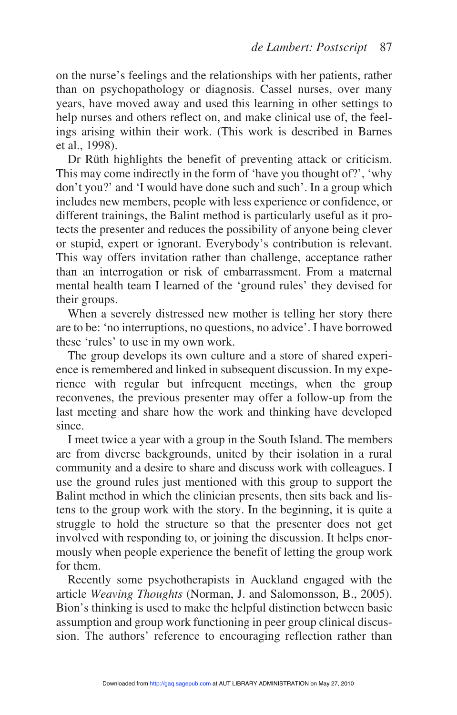on the nurse's feelings and the relationships with her patients, rather than on psychopathology or diagnosis. Cassel nurses, over many years, have moved away and used this learning in other settings to help nurses and others reflect on, and make clinical use of, the feelings arising within their work. (This work is described in Barnes et al., 1998).

Dr Rüth highlights the benefit of preventing attack or criticism. This may come indirectly in the form of 'have you thought of?', 'why don't you?' and 'I would have done such and such'. In a group which includes new members, people with less experience or confidence, or different trainings, the Balint method is particularly useful as it protects the presenter and reduces the possibility of anyone being clever or stupid, expert or ignorant. Everybody's contribution is relevant. This way offers invitation rather than challenge, acceptance rather than an interrogation or risk of embarrassment. From a maternal mental health team I learned of the 'ground rules' they devised for their groups.

When a severely distressed new mother is telling her story there are to be: 'no interruptions, no questions, no advice'. I have borrowed these 'rules' to use in my own work.

The group develops its own culture and a store of shared experience is remembered and linked in subsequent discussion. In my experience with regular but infrequent meetings, when the group reconvenes, the previous presenter may offer a follow-up from the last meeting and share how the work and thinking have developed since.

I meet twice a year with a group in the South Island. The members are from diverse backgrounds, united by their isolation in a rural community and a desire to share and discuss work with colleagues. I use the ground rules just mentioned with this group to support the Balint method in which the clinician presents, then sits back and listens to the group work with the story. In the beginning, it is quite a struggle to hold the structure so that the presenter does not get involved with responding to, or joining the discussion. It helps enormously when people experience the benefit of letting the group work for them.

Recently some psychotherapists in Auckland engaged with the article *Weaving Thoughts* (Norman, J. and Salomonsson, B., 2005). Bion's thinking is used to make the helpful distinction between basic assumption and group work functioning in peer group clinical discussion. The authors' reference to encouraging reflection rather than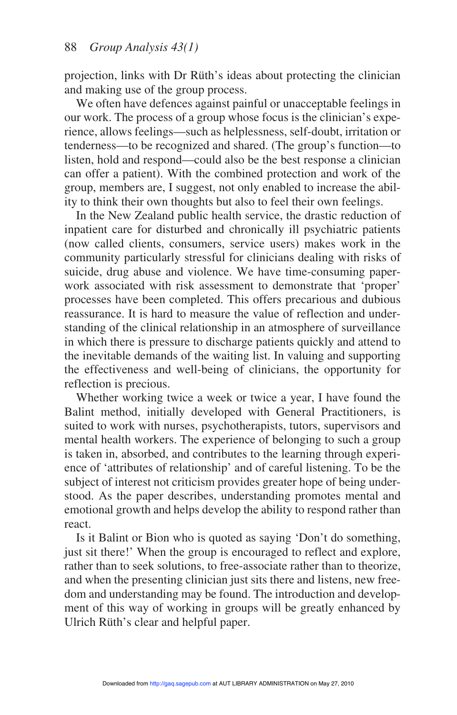projection, links with Dr Rüth's ideas about protecting the clinician and making use of the group process.

We often have defences against painful or unacceptable feelings in our work. The process of a group whose focus is the clinician's experience, allows feelings—such as helplessness, self-doubt, irritation or tenderness—to be recognized and shared. (The group's function—to listen, hold and respond—could also be the best response a clinician can offer a patient). With the combined protection and work of the group, members are, I suggest, not only enabled to increase the ability to think their own thoughts but also to feel their own feelings.

In the New Zealand public health service, the drastic reduction of inpatient care for disturbed and chronically ill psychiatric patients (now called clients, consumers, service users) makes work in the community particularly stressful for clinicians dealing with risks of suicide, drug abuse and violence. We have time-consuming paperwork associated with risk assessment to demonstrate that 'proper' processes have been completed. This offers precarious and dubious reassurance. It is hard to measure the value of reflection and understanding of the clinical relationship in an atmosphere of surveillance in which there is pressure to discharge patients quickly and attend to the inevitable demands of the waiting list. In valuing and supporting the effectiveness and well-being of clinicians, the opportunity for reflection is precious.

Whether working twice a week or twice a year, I have found the Balint method, initially developed with General Practitioners, is suited to work with nurses, psychotherapists, tutors, supervisors and mental health workers. The experience of belonging to such a group is taken in, absorbed, and contributes to the learning through experience of 'attributes of relationship' and of careful listening. To be the subject of interest not criticism provides greater hope of being understood. As the paper describes, understanding promotes mental and emotional growth and helps develop the ability to respond rather than react.

Is it Balint or Bion who is quoted as saying 'Don't do something, just sit there!' When the group is encouraged to reflect and explore, rather than to seek solutions, to free-associate rather than to theorize, and when the presenting clinician just sits there and listens, new freedom and understanding may be found. The introduction and development of this way of working in groups will be greatly enhanced by Ulrich Rüth's clear and helpful paper.